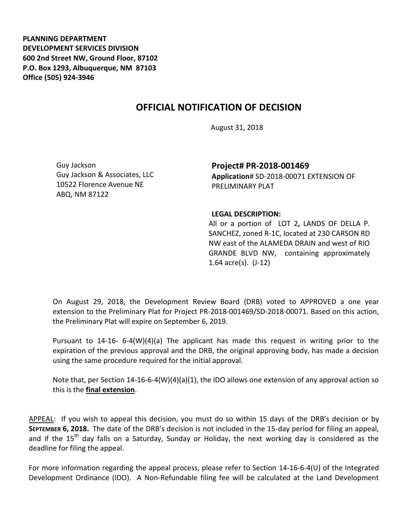**PLANNING DEPARTMENT DEVELOPMENT SERVICES DIVISION 600 2nd Street NW, Ground Floor, 87102 P.O. Box 1293, Albuquerque, NM 87103 Office (505) 924-3946** 

## **OFFICIAL NOTIFICATION OF DECISION**

August 31, 2018

Guy Jackson Guy Jackson & Associates, LLC 10522 Florence Avenue NE ABQ, NM 87122

**Project# PR-2018-001469 Application**# SD-2018-00071 EXTENSION OF PRELIMINARY PLAT

## **LEGAL DESCRIPTION:**

All or a portion of LOT 2**,** LANDS OF DELLA P. SANCHEZ, zoned R-1C, located at 230 CARSON RD NW east of the ALAMEDA DRAIN and west of RIO GRANDE BLVD NW, containing approximately 1.64 acre(s). (J-12)

On August 29, 2018, the Development Review Board (DRB) voted to APPROVED a one year extension to the Preliminary Plat for Project PR-2018-001469/SD-2018-00071. Based on this action, the Preliminary Plat will expire on September 6, 2019.

Pursuant to 14-16- 6-4(W)(4)(a) The applicant has made this request in writing prior to the expiration of the previous approval and the DRB, the original approving body, has made a decision using the same procedure required for the initial approval.

Note that, per Section 14-16-6-4(W)(4)(a)(1), the IDO allows one extension of any approval action so this is the **final extension**.

APPEAL: If you wish to appeal this decision, you must do so within 15 days of the DRB's decision or by **SEPTEMBER 6, 2018.** The date of the DRB's decision is not included in the 15-day period for filing an appeal, and if the 15<sup>th</sup> day falls on a Saturday, Sunday or Holiday, the next working day is considered as the deadline for filing the appeal.

For more information regarding the appeal process, please refer to Section 14-16-6-4(U) of the Integrated Development Ordinance (IDO). A Non-Refundable filing fee will be calculated at the Land Development